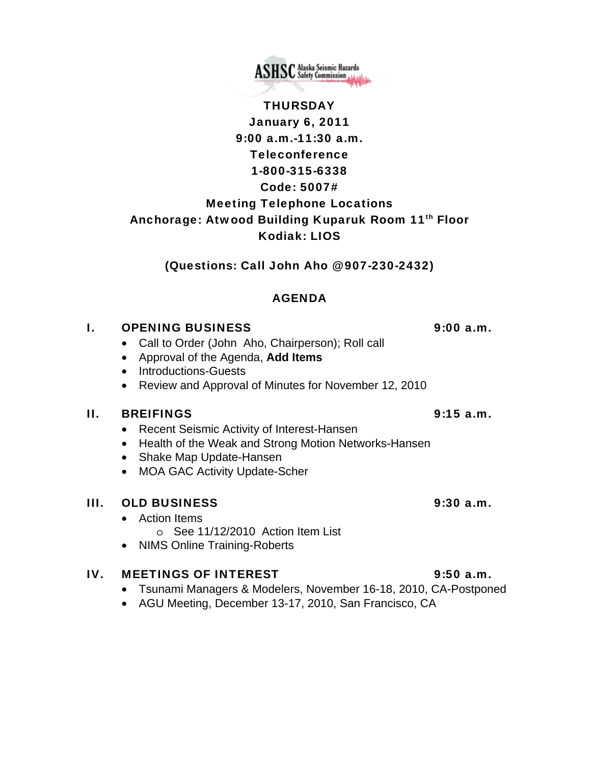THURSDAY January 6, 2011 9:00 a.m.-11:30 a.m. Teleconference 1-800-315-6338

Code: 5007# Meeting Telephone Locations Anchorage: Atwood Building Kuparuk Room 11<sup>th</sup> Floor Kodiak: LIOS

(Questions: Call John Aho @ 907-230-2432)

## AGENDA

### I. OPENING BUSINESS 9:00 a.m.

- Call to Order (John Aho, Chairperson); Roll call
- Approval of the Agenda, **Add Items**
- Introductions-Guests
- Review and Approval of Minutes for November 12, 2010

### II. BREIFINGS 9:15 a.m.

- Recent Seismic Activity of Interest-Hansen
- Health of the Weak and Strong Motion Networks-Hansen
- Shake Map Update-Hansen
- MOA GAC Activity Update-Scher

## III. OLD BUSINESS 9:30 a.m.

- Action Items
	- o See 11/12/2010 Action Item List
- NIMS Online Training-Roberts

### IV. MEETINGS OF INTEREST 9:50 a.m.

- Tsunami Managers & Modelers, November 16-18, 2010, CA-Postponed
- AGU Meeting, December 13-17, 2010, San Francisco, CA

**ASHSC** Alaska Seismic Hazards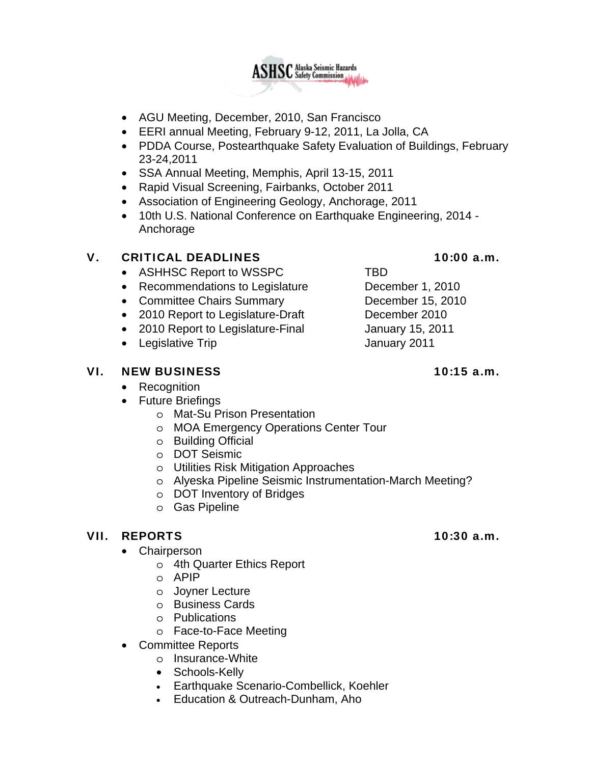

- AGU Meeting, December, 2010, San Francisco
- EERI annual Meeting, February 9-12, 2011, La Jolla, CA
- PDDA Course, Postearthquake Safety Evaluation of Buildings, February 23-24,2011
- SSA Annual Meeting, Memphis, April 13-15, 2011
- Rapid Visual Screening, Fairbanks, October 2011
- Association of Engineering Geology, Anchorage, 2011
- 10th U.S. National Conference on Earthquake Engineering, 2014 Anchorage

## V. CRITICAL DEADLINES 10:00 a.m.

- ASHHSC Report to WSSPC TBD
- Recommendations to Legislature December 1, 2010
- Committee Chairs Summary December 15, 2010
- 2010 Report to Legislature-Draft December 2010
- 2010 Report to Legislature-Final January 15, 2011
- Legislative Trip **January 2011**

## VI. NEW BUSINESS 10:15 a.m.

- Recognition
- Future Briefings
	- o Mat-Su Prison Presentation
	- o MOA Emergency Operations Center Tour
	- o Building Official
	- o DOT Seismic
	- o Utilities Risk Mitigation Approaches
	- o Alyeska Pipeline Seismic Instrumentation-March Meeting?
	- o DOT Inventory of Bridges
	- o Gas Pipeline

# VII. REPORTS 10:30 a.m.

- **Chairperson** 
	- o 4th Quarter Ethics Report
	- o APIP
	- o Joyner Lecture
	- o Business Cards
	- o Publications
	- o Face-to-Face Meeting
- Committee Reports
	- o Insurance-White
	- Schools-Kelly
	- Earthquake Scenario-Combellick, Koehler
	- Education & Outreach-Dunham, Aho